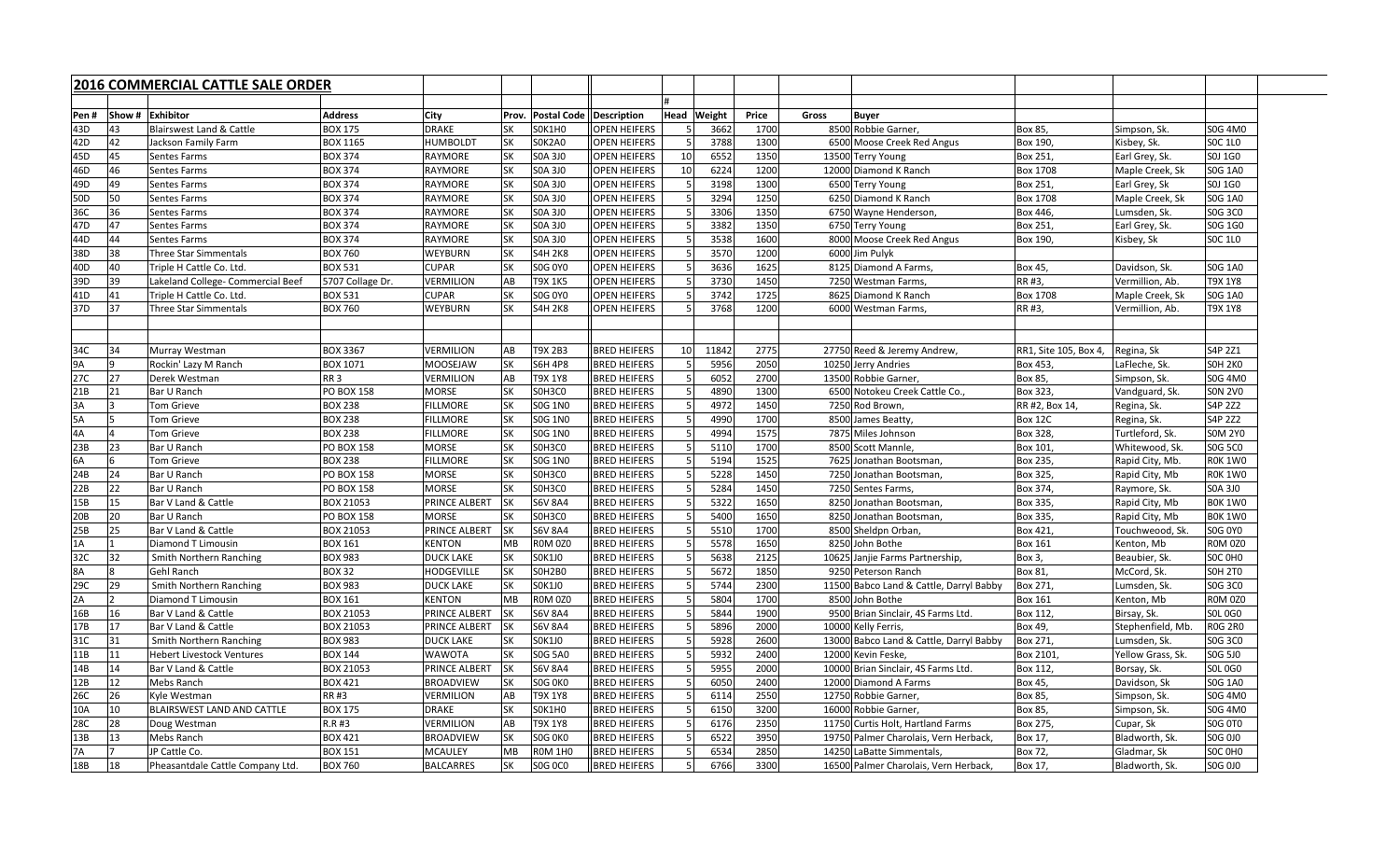|                 |                | 2016 COMMERCIAL CATTLE SALE ORDER   |                   |                      |           |                                  |                     |             |              |       |                                         |                       |                   |                |  |  |  |  |
|-----------------|----------------|-------------------------------------|-------------------|----------------------|-----------|----------------------------------|---------------------|-------------|--------------|-------|-----------------------------------------|-----------------------|-------------------|----------------|--|--|--|--|
|                 |                |                                     |                   |                      |           |                                  |                     |             |              |       |                                         |                       |                   |                |  |  |  |  |
| Pen#            | <b>IShow</b> # | <b>Exhibitor</b>                    | <b>Address</b>    | <b>City</b>          | Prov.     | <b>Postal Code   Description</b> |                     | Head Weight | <b>Price</b> | Gross | <b>Buyer</b>                            |                       |                   |                |  |  |  |  |
| 43D             |                | <b>Blairswest Land &amp; Cattle</b> | <b>BOX 175</b>    | <b>DRAKE</b>         | <b>SK</b> | SOK1HO                           | <b>OPEN HEIFERS</b> | 3662        | 1700         |       | 8500 Robbie Garner,                     | Box 85,               | Simpson, Sk.      | <b>S0G 4M0</b> |  |  |  |  |
| 42D             | 42             | Jackson Family Farm                 | <b>BOX 1165</b>   | <b>HUMBOLDT</b>      | <b>SK</b> | SOK2A0                           | <b>OPEN HEIFERS</b> | 3788        | 1300         |       | 6500 Moose Creek Red Angus              | Box 190,              | Kisbey, Sk.       | <b>SOC 1LO</b> |  |  |  |  |
| 45D             |                | <b>Sentes Farms</b>                 | <b>BOX 374</b>    | <b>RAYMORE</b>       | <b>SK</b> | <b>SOA 3J0</b>                   | <b>OPEN HEIFERS</b> | 6552        | 1350         |       | 13500 Terry Young                       | Box 251,              | Earl Grey, Sk.    | S0J 1G0        |  |  |  |  |
| 46D             |                | <b>Sentes Farms</b>                 | <b>BOX 374</b>    | <b>RAYMORE</b>       | <b>SK</b> | <b>SOA 3JO</b>                   | <b>OPEN HEIFERS</b> | 6224        | 1200         |       | 12000 Diamond K Ranch                   | <b>Box 1708</b>       | Maple Creek, Sk   | <b>SOG 1A0</b> |  |  |  |  |
| 49D             |                | <b>Sentes Farms</b>                 | <b>BOX 374</b>    | <b>RAYMORE</b>       | <b>SK</b> | <b>SOA 3JO</b>                   | <b>OPEN HEIFERS</b> | 3198        | 1300         |       | 6500 Terry Young                        | Box 251,              | Earl Grey, Sk     | S0J 1G0        |  |  |  |  |
| 50D             | 50             | <b>Sentes Farms</b>                 | <b>BOX 374</b>    | <b>RAYMORE</b>       | <b>SK</b> | <b>SOA 3JO</b>                   | <b>OPEN HEIFERS</b> | 3294        | 1250         |       | 6250 Diamond K Ranch                    | <b>Box 1708</b>       | Maple Creek, Sk   | <b>SOG 1A0</b> |  |  |  |  |
| 36C             |                | <b>Sentes Farms</b>                 | <b>BOX 374</b>    | <b>RAYMORE</b>       | <b>SK</b> | <b>SOA 3JO</b>                   | <b>OPEN HEIFERS</b> | 3306        | 1350         |       | 6750 Wayne Henderson,                   | Box 446,              | Lumsden, Sk.      | S0G 3C0        |  |  |  |  |
| 47 <sub>D</sub> |                | <b>Sentes Farms</b>                 | <b>BOX 374</b>    | <b>RAYMORE</b>       | <b>SK</b> | <b>SOA 3JO</b>                   | <b>OPEN HEIFERS</b> | 3382        | 1350         |       | 6750 Terry Young                        | Box 251,              | Earl Grey, Sk.    | S0G 1G0        |  |  |  |  |
| 44D             |                | <b>Sentes Farms</b>                 | <b>BOX 374</b>    | <b>RAYMORE</b>       | <b>SK</b> | <b>SOA 3JO</b>                   | <b>OPEN HEIFERS</b> | 3538        | 1600         |       | 8000 Moose Creek Red Angus              | Box 190,              | Kisbey, Sk        | <b>SOC 1LO</b> |  |  |  |  |
| 38D             | 38             | Three Star Simmentals               | <b>BOX 760</b>    | <b>WEYBURN</b>       | <b>SK</b> | <b>S4H 2K8</b>                   | <b>OPEN HEIFERS</b> | 3570        | 1200         |       | 6000 Jim Pulyk                          |                       |                   |                |  |  |  |  |
| 40D             |                | Triple H Cattle Co. Ltd.            | <b>BOX 531</b>    | <b>CUPAR</b>         | <b>SK</b> | <b>SOG 0Y0</b>                   | <b>OPEN HEIFERS</b> | 3636        | 1625         |       | 8125 Diamond A Farms,                   | Box 45,               | Davidson, Sk.     | <b>SOG 1A0</b> |  |  |  |  |
| 39D             | 39             | Lakeland College- Commercial Beef   | 5707 Collage Dr.  | <b>VERMILION</b>     | AB        | T9X 1K5                          | <b>OPEN HEIFERS</b> | 3730        | 1450         |       | 7250 Westman Farms,                     | RR #3,                | Vermillion, Ab.   | <b>T9X 1Y8</b> |  |  |  |  |
| 41D             |                | Triple H Cattle Co. Ltd.            | <b>BOX 531</b>    | <b>CUPAR</b>         | SK        | S0G 0Y0                          | <b>OPEN HEIFERS</b> | 3742        | 1725         |       | 8625 Diamond K Ranch                    | <b>Box 1708</b>       | Maple Creek, Sk   | <b>SOG 1A0</b> |  |  |  |  |
| 37D             |                | <b>Three Star Simmentals</b>        | <b>BOX 760</b>    | <b>WEYBURN</b>       | <b>SK</b> | <b>S4H 2K8</b>                   | <b>OPEN HEIFERS</b> | 3768        | 1200         |       | 6000 Westman Farms,                     | RR #3,                | Vermillion, Ab.   | <b>T9X 1Y8</b> |  |  |  |  |
|                 |                |                                     |                   |                      |           |                                  |                     |             |              |       |                                         |                       |                   |                |  |  |  |  |
|                 |                |                                     |                   |                      |           |                                  |                     |             |              |       |                                         |                       |                   |                |  |  |  |  |
| 34C             | 34             | Murray Westman                      | <b>BOX 3367</b>   | <b>VERMILION</b>     | AB        | <b>T9X 2B3</b>                   | <b>BRED HEIFERS</b> | 11842       | 2775         |       | 27750 Reed & Jeremy Andrew,             | RR1, Site 105, Box 4, | Regina, Sk        | S4P 2Z1        |  |  |  |  |
| J9Α             |                | Rockin' Lazy M Ranch                | <b>BOX 1071</b>   | MOOSEJAW             | <b>SK</b> | <b>S6H 4P8</b>                   | <b>BRED HEIFERS</b> | 5956        | 2050         |       | 10250 Jerry Andries                     | Box 453,              | LaFleche, Sk.     | SOH 2KO        |  |  |  |  |
| 27C             |                | Derek Westman                       | RR <sub>3</sub>   | VERMILION            | AB        | T9X 1Y8                          | <b>BRED HEIFERS</b> | 6052        | 2700         |       | 13500 Robbie Garner,                    | Box 85,               | Simpson, Sk.      | <b>SOG 4M0</b> |  |  |  |  |
| 21B             |                | Bar U Ranch                         | PO BOX 158        | <b>MORSE</b>         | <b>SK</b> | SOH3CO                           | <b>BRED HEIFERS</b> | 4890        | 1300         |       | 6500 Notokeu Creek Cattle Co.,          | Box 323,              | Vandguard, Sk.    | <b>SON 2VO</b> |  |  |  |  |
| 3A              |                | Tom Grieve                          | <b>BOX 238</b>    | <b>FILLMORE</b>      | <b>SK</b> | <b>SOG 1NO</b>                   | <b>BRED HEIFERS</b> | 4972        | 1450         |       | 7250 Rod Brown,                         | RR #2, Box 14,        | Regina, Sk.       | S4P 2Z2        |  |  |  |  |
| 5A              |                | Tom Grieve                          | <b>BOX 238</b>    | <b>FILLMORE</b>      | <b>SK</b> | <b>SOG 1NO</b>                   | <b>BRED HEIFERS</b> | 4990        | 1700         |       | 8500 James Beatty,                      | <b>Box 12C</b>        | Regina, Sk.       | S4P 2Z2        |  |  |  |  |
| 4A              |                | Tom Grieve                          | <b>BOX 238</b>    | <b>FILLMORE</b>      | <b>SK</b> | <b>SOG 1NO</b>                   | <b>BRED HEIFERS</b> | 4994        | 1575         |       | 7875 Miles Johnson                      | Box 328,              | Turtleford, Sk.   | <b>SOM 2YO</b> |  |  |  |  |
| 23B             |                | Bar U Ranch                         | <b>PO BOX 158</b> | MORSE                | <b>SK</b> | SOH3CO                           | <b>BRED HEIFERS</b> | 5110        | 1700         |       | 8500 Scott Mannle,                      | Box 101               | Whitewood, Sk.    | S0G 5C0        |  |  |  |  |
| 6A              |                | Tom Grieve                          | <b>BOX 238</b>    | <b>FILLMORE</b>      | <b>SK</b> | <b>SOG 1NO</b>                   | <b>BRED HEIFERS</b> | 5194        | 1525         |       | 7625 Jonathan Bootsman,                 | Box 235,              | Rapid City, Mb.   | <b>ROK 1WO</b> |  |  |  |  |
| 24B             | 24             | Bar U Ranch                         | <b>PO BOX 158</b> | <b>MORSE</b>         | <b>SK</b> | SOH3CO                           | <b>BRED HEIFERS</b> | 5228        | 1450         |       | 7250 Jonathan Bootsman,                 | Box 325,              | Rapid City, Mb    | ROK 1WO        |  |  |  |  |
| 22B             |                | Bar U Ranch                         | <b>PO BOX 158</b> | <b>MORSE</b>         | <b>SK</b> | SOH3CO                           | <b>BRED HEIFERS</b> | 5284        | 1450         |       | 7250 Sentes Farms,                      | Box 374,              | Raymore, Sk.      | S0A 3J0        |  |  |  |  |
| 15B             |                | Bar V Land & Cattle                 | <b>BOX 21053</b>  | <b>PRINCE ALBERT</b> | <b>SK</b> | <b>S6V 8A4</b>                   | <b>BRED HEIFERS</b> | 5322        | 1650         |       | 8250 Jonathan Bootsman,                 | Box 335,              | Rapid City, Mb    | BOK 1WO        |  |  |  |  |
| 20B             | 20             | Bar U Ranch                         | PO BOX 158        | <b>MORSE</b>         | <b>SK</b> | SOH3CO                           | <b>BRED HEIFERS</b> | 5400        | 1650         |       | 8250 Jonathan Bootsman,                 | Box 335,              | Rapid City, Mb    | BOK 1WO        |  |  |  |  |
| 25B             | 125            | Bar V Land & Cattle                 | <b>BOX 21053</b>  | <b>PRINCE ALBERT</b> | <b>SK</b> | <b>S6V 8A4</b>                   | <b>BRED HEIFERS</b> | 5510        | 1700         |       | 8500 Sheldpn Orban,                     | Box 421,              | Touchweood, Sk.   | <b>SOG 0Y0</b> |  |  |  |  |
| 1A              |                | Diamond T Limousin                  | <b>BOX 161</b>    | <b>KENTON</b>        | <b>MB</b> | <b>ROM 0Z0</b>                   | <b>BRED HEIFERS</b> | 5578        | 1650         |       | 8250 John Bothe                         | Box 161               | Kenton, Mb        | <b>ROM 0Z0</b> |  |  |  |  |
| 32C             |                | Smith Northern Ranching             | <b>BOX 983</b>    | <b>DUCK LAKE</b>     | <b>SK</b> | <b>SOK1JO</b>                    | <b>BRED HEIFERS</b> | 5638        | 2125         |       | 10625 Janjie Farms Partnership,         | Box 3,                | Beaubier, Sk.     | SOC OHO        |  |  |  |  |
| 8A              |                | <b>Gehl Ranch</b>                   | <b>BOX 32</b>     | <b>HODGEVILLE</b>    | <b>SK</b> | SOH2BO                           | <b>BRED HEIFERS</b> | 5672        | 1850         |       | 9250 Peterson Ranch                     | Box 81,               | McCord, Sk.       | SOH 2TO        |  |  |  |  |
| 29C             | I29            | Smith Northern Ranching             | <b>BOX 983</b>    | <b>DUCK LAKE</b>     | <b>SK</b> | <b>SOK1JO</b>                    | <b>BRED HEIFERS</b> | 5744        | 2300         |       | 11500 Babco Land & Cattle, Darryl Babby | Box 271,              | Lumsden, Sk.      | S0G 3C0        |  |  |  |  |
| 2A              |                | Diamond T Limousin                  | <b>BOX 161</b>    | <b>KENTON</b>        | <b>MB</b> | <b>ROM 0Z0</b>                   | <b>BRED HEIFERS</b> | 5804        | 1700         |       | 8500 John Bothe                         | <b>Box 161</b>        | Kenton, Mb        | <b>ROM 0Z0</b> |  |  |  |  |
| 16B             | 16             | Bar V Land & Cattle                 | <b>BOX 21053</b>  | PRINCE ALBERT        | <b>SK</b> | <b>S6V 8A4</b>                   | <b>BRED HEIFERS</b> | 5844        | 1900         |       | 9500 Brian Sinclair, 4S Farms Ltd.      | Box 112,              | Birsay, Sk.       | <b>SOL 0G0</b> |  |  |  |  |
| 17B             |                | Bar V Land & Cattle                 | <b>BOX 21053</b>  | PRINCE ALBERT        | <b>SK</b> | <b>S6V 8A4</b>                   | <b>BRED HEIFERS</b> | 5896        | 2000         |       | 10000 Kelly Ferris,                     | Box 49,               | Stephenfield, Mb. | <b>ROG 2RO</b> |  |  |  |  |
| 31C             |                | Smith Northern Ranching             | <b>BOX 983</b>    | <b>DUCK LAKE</b>     | <b>SK</b> | <b>SOK1JO</b>                    | <b>BRED HEIFERS</b> | 5928        | 2600         |       | 13000 Babco Land & Cattle, Darryl Babby | Box 271,              | Lumsden, Sk.      | S0G 3C0        |  |  |  |  |
| 11B             |                | <b>Hebert Livestock Ventures</b>    | <b>BOX 144</b>    | <b>WAWOTA</b>        | <b>SK</b> | <b>SOG 5A0</b>                   | <b>BRED HEIFERS</b> | 5932        | 2400         |       | 12000 Kevin Feske,                      | Box 2101,             | Yellow Grass, Sk. | S0G 5J0        |  |  |  |  |
| 14B             |                | Bar V Land & Cattle                 | <b>BOX 21053</b>  | PRINCE ALBERT        | <b>SK</b> | <b>S6V 8A4</b>                   | <b>BRED HEIFERS</b> | 5955        | 2000         |       | 10000 Brian Sinclair, 4S Farms Ltd.     | Box 112,              | Borsay, Sk.       | <b>SOL 0G0</b> |  |  |  |  |
| 12B             |                | Mebs Ranch                          | <b>BOX 421</b>    | <b>BROADVIEW</b>     | <b>SK</b> | SOG OKO                          | <b>BRED HEIFERS</b> | 6050        | 2400         |       | 12000 Diamond A Farms                   | Box 45,               | Davidson, Sk      | <b>S0G 1A0</b> |  |  |  |  |
| 26C             | 26             | Kyle Westman                        | <b>RR#3</b>       | <b>VERMILION</b>     | AB        | T9X 1Y8                          | <b>BRED HEIFERS</b> | 6114        | 2550         |       | 12750 Robbie Garner,                    | Box 85,               | Simpson, Sk.      | <b>S0G 4M0</b> |  |  |  |  |
| 10A             |                | <b>BLAIRSWEST LAND AND CATTLE</b>   | <b>BOX 175</b>    | <b>DRAKE</b>         | <b>SK</b> | SOK1HO                           | <b>BRED HEIFERS</b> | 6150        | 3200         |       | 16000 Robbie Garner,                    | Box 85,               | Simpson, Sk.      | S0G 4M0        |  |  |  |  |
| <b>28C</b>      | 28             | Doug Westman                        | R.R #3            | <b>VERMILION</b>     | AB        | T9X 1Y8                          | <b>BRED HEIFERS</b> | 6176        | 2350         |       | 11750 Curtis Holt, Hartland Farms       | Box 275,              | Cupar, Sk         | SOG OTO        |  |  |  |  |
| 13B             |                | <b>Mebs Ranch</b>                   | <b>BOX 421</b>    | <b>BROADVIEW</b>     | <b>SK</b> | SOG OKO                          | <b>BRED HEIFERS</b> | 6522        | 3950         |       | 19750 Palmer Charolais, Vern Herback,   | Box 17,               | Bladworth, Sk.    | S0G 0J0        |  |  |  |  |
| 7A              |                | JP Cattle Co.                       | <b>BOX 151</b>    | <b>MCAULEY</b>       | <b>MB</b> | <b>ROM 1H0</b>                   | <b>BRED HEIFERS</b> | 6534        | 2850         |       | 14250 LaBatte Simmentals,               | Box 72,               | Gladmar, Sk       | SOC OHO        |  |  |  |  |
| 18B             | 118            | Pheasantdale Cattle Company Ltd.    | <b>BOX 760</b>    | <b>BALCARRES</b>     | <b>SK</b> | S0G 0C0                          | BRED HEIFERS        | 6766        | 3300         |       | 16500 Palmer Charolais, Vern Herback,   | Box 17,               | Bladworth, Sk.    | S0G 0J0        |  |  |  |  |